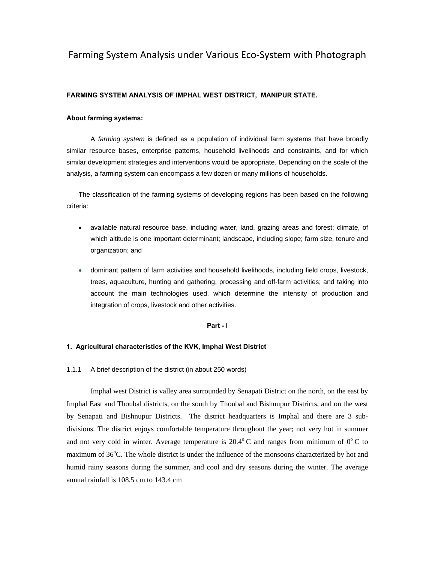# Farming System Analysis under Various Eco‐System with Photograph

#### **FARMING SYSTEM ANALYSIS OF IMPHAL WEST DISTRICT, MANIPUR STATE.**

#### **About farming systems:**

A *farming system* is defined as a population of individual farm systems that have broadly similar resource bases, enterprise patterns, household livelihoods and constraints, and for which similar development strategies and interventions would be appropriate. Depending on the scale of the analysis, a farming system can encompass a few dozen or many millions of households.

The classification of the farming systems of developing regions has been based on the following criteria:

- available natural resource base, including water, land, grazing areas and forest; climate, of which altitude is one important determinant; landscape, including slope; farm size, tenure and organization; and
- dominant pattern of farm activities and household livelihoods, including field crops, livestock, trees, aquaculture, hunting and gathering, processing and off-farm activities; and taking into account the main technologies used, which determine the intensity of production and integration of crops, livestock and other activities.

#### **Part - I**

### **1. Agricultural characteristics of the KVK, Imphal West District**

1.1.1 A brief description of the district (in about 250 words)

Imphal west District is valley area surrounded by Senapati District on the north, on the east by Imphal East and Thoubal districts, on the south by Thoubal and Bishnupur Districts, and on the west by Senapati and Bishnupur Districts. The district headquarters is Imphal and there are 3 subdivisions. The district enjoys comfortable temperature throughout the year; not very hot in summer and not very cold in winter. Average temperature is  $20.4^{\circ}$  C and ranges from minimum of  $0^{\circ}$  C to maximum of 36°C. The whole district is under the influence of the monsoons characterized by hot and humid rainy seasons during the summer, and cool and dry seasons during the winter. The average annual rainfall is 108.5 cm to 143.4 cm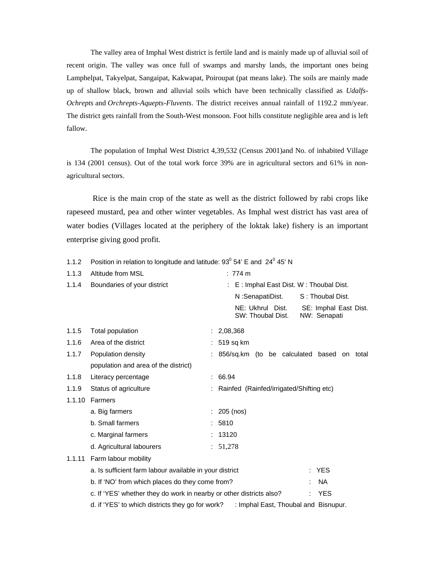The valley area of Imphal West district is fertile land and is mainly made up of alluvial soil of recent origin. The valley was once full of swamps and marshy lands, the important ones being Lamphelpat, Takyelpat, Sangaipat, Kakwapat, Poiroupat (pat means lake). The soils are mainly made up of shallow black, brown and alluvial soils which have been technically classified as *Udalfs-Ochrepts* and *Orchrepts-Aquepts-Fluvents*. The district receives annual rainfall of 1192.2 mm/year. The district gets rainfall from the South-West monsoon. Foot hills constitute negligible area and is left fallow.

The population of Imphal West District 4,39,532 (Census 2001)and No. of inhabited Village is 134 (2001 census). Out of the total work force 39% are in agricultural sectors and 61% in nonagricultural sectors.

 Rice is the main crop of the state as well as the district followed by rabi crops like rapeseed mustard, pea and other winter vegetables. As Imphal west district has vast area of water bodies (Villages located at the periphery of the loktak lake) fishery is an important enterprise giving good profit.

|        | $\sim$ control in relation to longitude and latitude. So $\sim$ $\sim$ |  |                                                                                |  |
|--------|------------------------------------------------------------------------|--|--------------------------------------------------------------------------------|--|
| 1.1.3  | Altitude from MSL                                                      |  | $: 774 \text{ m}$                                                              |  |
| 1.1.4  | Boundaries of your district                                            |  | : E : Imphal East Dist. W : Thoubal Dist.                                      |  |
|        |                                                                        |  | N :SenapatiDist.<br>S: Thoubal Dist.                                           |  |
|        |                                                                        |  | NE: Ukhrul Dist.<br>SE: Imphal East Dist.<br>SW: Thoubal Dist.<br>NW: Senapati |  |
| 1.1.5  | Total population                                                       |  | : 2,08,368                                                                     |  |
| 1.1.6  | Area of the district                                                   |  | 519 sq km                                                                      |  |
| 1.1.7  | Population density                                                     |  | 856/sq.km (to be calculated based on total                                     |  |
|        | population and area of the district)                                   |  |                                                                                |  |
| 1.1.8  | Literacy percentage                                                    |  | 66.94                                                                          |  |
| 1.1.9  | Status of agriculture                                                  |  | Rainfed (Rainfed/irrigated/Shifting etc)                                       |  |
| 1.1.10 | Farmers                                                                |  |                                                                                |  |
|        | a. Big farmers                                                         |  | 205 (nos)                                                                      |  |
|        | b. Small farmers                                                       |  | 5810                                                                           |  |
|        | c. Marginal farmers                                                    |  | 13120                                                                          |  |
|        | d. Agricultural labourers                                              |  | : 51,278                                                                       |  |
| 1.1.11 | Farm labour mobility                                                   |  |                                                                                |  |
|        | a. Is sufficient farm labour available in your district                |  | <b>YES</b>                                                                     |  |
|        | b. If 'NO' from which places do they come from?                        |  | <b>NA</b>                                                                      |  |
|        | c. If 'YES' whether they do work in nearby or other districts also?    |  | <b>YES</b>                                                                     |  |
|        | d. if 'YES' to which districts they go for work?                       |  | : Imphal East, Thoubal and Bisnupur.                                           |  |

1.1.2 Position in relation to longitude and latitude:  $93^{\circ}$  54' E and  $24^{\circ}$  45' N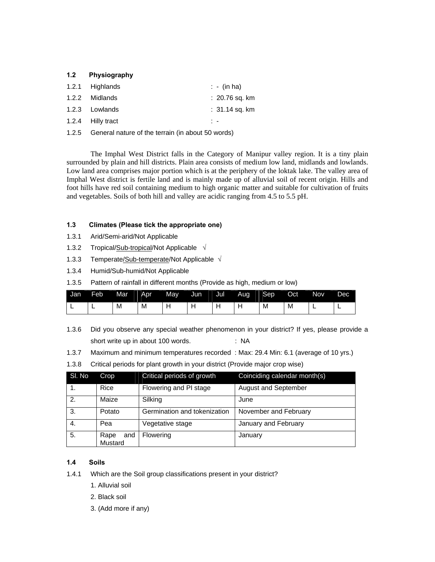### **1.2 Physiography**

| 1.2.1 Highlands   | $\therefore$ - (in ha) |
|-------------------|------------------------|
| 1.2.2 Midlands    | :20.76 sq. km          |
| 1.2.3 Lowlands    | $: 31.14$ sq. km       |
| 1.2.4 Hilly tract | . .                    |

1.2.5 General nature of the terrain (in about 50 words)

The Imphal West District falls in the Category of Manipur valley region. It is a tiny plain surrounded by plain and hill districts. Plain area consists of medium low land, midlands and lowlands. Low land area comprises major portion which is at the periphery of the loktak lake. The valley area of Imphal West district is fertile land and is mainly made up of alluvial soil of recent origin. Hills and foot hills have red soil containing medium to high organic matter and suitable for cultivation of fruits and vegetables. Soils of both hill and valley are acidic ranging from 4.5 to 5.5 pH.

### **1.3 Climates (Please tick the appropriate one)**

- 1.3.1 Arid/Semi-arid/Not Applicable
- 1.3.2 Tropical/Sub-tropical/Not Applicable **√**
- 1.3.3 Temperate/Sub-temperate/Not Applicable **√**
- 1.3.4 Humid/Sub-humid/Not Applicable
- 1.3.5 Pattern of rainfall in different months (Provide as high, medium or low)

| Jan | Feb | Mar | Apr | May | Jun | Jul | Aug | Sep | Oct <sup>1</sup> | <b>Nov</b> | Dec |
|-----|-----|-----|-----|-----|-----|-----|-----|-----|------------------|------------|-----|
| --  | -   | M   | M   |     |     |     |     | M   | M                | -          |     |

- 1.3.6 Did you observe any special weather phenomenon in your district? If yes, please provide a short write up in about 100 words.  $\blacksquare$  : NA
- 1.3.7 Maximum and minimum temperatures recorded : Max: 29.4 Min: 6.1 (average of 10 yrs.)

| SI. No      | Crop                   | Critical periods of growth   | Coinciding calendar month(s) |
|-------------|------------------------|------------------------------|------------------------------|
| 1.          | Rice                   | Flowering and PI stage       | <b>August and September</b>  |
| 2.<br>Maize |                        | Silking                      | June                         |
| 3.          | Potato                 | Germination and tokenization | November and February        |
| 4.          | Pea                    | Vegetative stage             | January and February         |
| 5.          | Rape<br>and<br>Mustard | Flowering                    | January                      |

### **1.4 Soils**

- 1.4.1 Which are the Soil group classifications present in your district?
	- 1. Alluvial soil
	- 2. Black soil
	- 3. (Add more if any)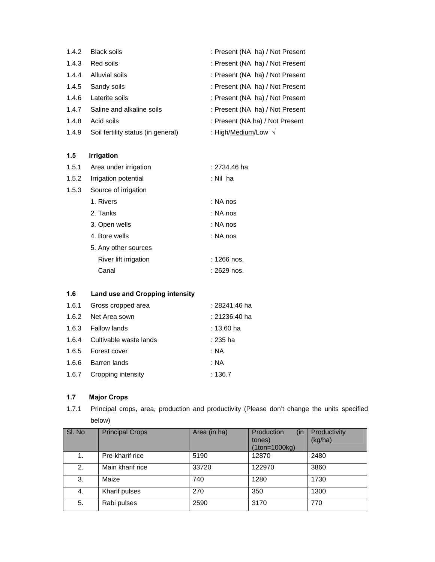| 1.4.2 | <b>Black soils</b>                 | : Present (NA ha) / Not Present |
|-------|------------------------------------|---------------------------------|
| 1.4.3 | Red soils                          | : Present (NA ha) / Not Present |
| 1.4.4 | Alluvial soils                     | : Present (NA ha) / Not Present |
| 1.4.5 | Sandy soils                        | : Present (NA ha) / Not Present |
| 1.4.6 | Laterite soils                     | : Present (NA ha) / Not Present |
| 1.4.7 | Saline and alkaline soils          | : Present (NA ha) / Not Present |
| 1.4.8 | Acid soils                         | : Present (NA ha) / Not Present |
| 1.4.9 | Soil fertility status (in general) | : High/Medium/Low $\sqrt{}$     |

# **1.5 Irrigation**

| 1.5.1 | Area under irrigation | : 2734.46 ha |
|-------|-----------------------|--------------|
| 1.5.2 | Irrigation potential  | : Nil ha     |
| 1.5.3 | Source of irrigation  |              |
|       | 1. Rivers             | : NA nos     |
|       | 2. Tanks              | : NA nos     |
|       | 3. Open wells         | : NA nos     |
|       | 4. Bore wells         | : NA nos     |
|       | 5. Any other sources  |              |
|       | River lift irrigation | : 1266 nos.  |
|       | Canal                 | : 2629 nos.  |
|       |                       |              |

# **1.6 Land use and Cropping intensity**

|       | 1.6.1 Gross cropped area     | : 28241.46 ha |
|-------|------------------------------|---------------|
|       | 1.6.2 Net Area sown          | : 21236.40 ha |
|       | 1.6.3 Fallow lands           | : 13.60 ha    |
|       | 1.6.4 Cultivable waste lands | : 235 ha      |
|       | 1.6.5 Forest cover           | : NA          |
| 1.6.6 | Barren lands                 | : NA          |
|       | 1.6.7 Cropping intensity     | :136.7        |

# **1.7 Major Crops**

1.7.1 Principal crops, area, production and productivity (Please don't change the units specified below)

| SI. No | <b>Principal Crops</b> | Area (in ha) | (in)<br>Production<br>tones)<br>$(1$ ton= $1000$ kg) | Productivity<br>(kg/ha) |
|--------|------------------------|--------------|------------------------------------------------------|-------------------------|
| 1.     | Pre-kharif rice        | 5190         | 12870                                                | 2480                    |
| 2.     | Main kharif rice       | 33720        | 122970                                               | 3860                    |
| 3.     | Maize                  | 740          | 1280                                                 | 1730                    |
| 4.     | Kharif pulses          | 270          | 350                                                  | 1300                    |
| 5.     | Rabi pulses            | 2590         | 3170                                                 | 770                     |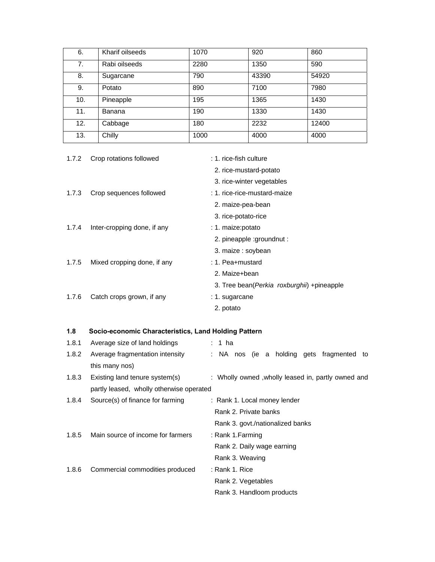| 6.  | Kharif oilseeds | 1070 | 920   | 860   |
|-----|-----------------|------|-------|-------|
| 7.  | Rabi oilseeds   | 2280 | 1350  | 590   |
| 8.  | Sugarcane       | 790  | 43390 | 54920 |
| 9.  | Potato          | 890  | 7100  | 7980  |
| 10. | Pineapple       | 195  | 1365  | 1430  |
| 11. | Banana          | 190  | 1330  | 1430  |
| 12. | Cabbage         | 180  | 2232  | 12400 |
| 13. | Chilly          | 1000 | 4000  | 4000  |

| 1.7.2 | Crop rotations followed     | : 1. rice-fish culture                       |
|-------|-----------------------------|----------------------------------------------|
|       |                             | 2. rice-mustard-potato                       |
|       |                             | 3. rice-winter vegetables                    |
| 1.7.3 | Crop sequences followed     | : 1. rice-rice-mustard-maize                 |
|       |                             | 2. maize-pea-bean                            |
|       |                             | 3. rice-potato-rice                          |
| 1.7.4 | Inter-cropping done, if any | : 1. maize:potato                            |
|       |                             | 2. pineapple :groundnut :                    |
|       |                             | 3. maize : soybean                           |
| 1.7.5 | Mixed cropping done, if any | $: 1.$ Pea+mustard                           |
|       |                             | 2. Maize+bean                                |
|       |                             | 3. Tree bean (Perkia roxburghii) + pineapple |
| 1.7.6 | Catch crops grown, if any   | : 1. sugarcane                               |
|       |                             | 2. potato                                    |

# **1.8 Socio-economic Characteristics, Land Holding Pattern**

| 1.8.1 | Average size of land holdings            | : 1 ha                                             |  |  |
|-------|------------------------------------------|----------------------------------------------------|--|--|
| 1.8.2 | Average fragmentation intensity          | : NA nos (ie a holding gets fragmented to          |  |  |
|       | this many nos)                           |                                                    |  |  |
| 1.8.3 | Existing land tenure system(s)           | : Wholly owned, wholly leased in, partly owned and |  |  |
|       | partly leased, wholly otherwise operated |                                                    |  |  |
| 1.8.4 | Source(s) of finance for farming         | : Rank 1. Local money lender                       |  |  |
|       |                                          | Rank 2. Private banks                              |  |  |
|       |                                          | Rank 3. govt./nationalized banks                   |  |  |
| 1.8.5 | Main source of income for farmers        | : Rank 1.Farming                                   |  |  |
|       |                                          | Rank 2. Daily wage earning                         |  |  |
|       |                                          | Rank 3. Weaving                                    |  |  |
| 1.8.6 | Commercial commodities produced          | : Rank 1. Rice                                     |  |  |
|       |                                          | Rank 2. Vegetables                                 |  |  |
|       |                                          | Rank 3. Handloom products                          |  |  |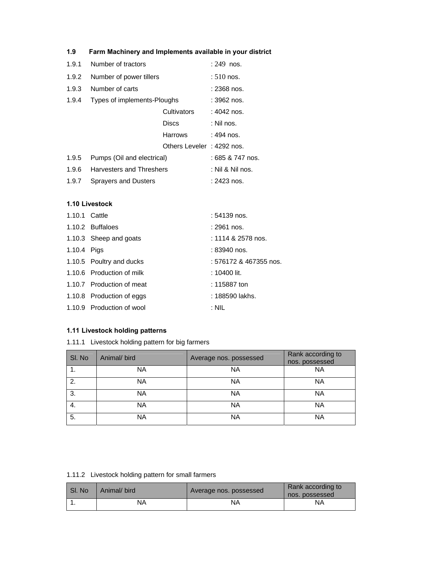|       | $\frac{1}{2}$ and may move y and mpositioned available in your diver |                           |                  |
|-------|----------------------------------------------------------------------|---------------------------|------------------|
| 1.9.1 | Number of tractors                                                   |                           | $: 249$ nos.     |
| 1.9.2 | Number of power tillers                                              |                           | $:510$ nos.      |
| 1.9.3 | Number of carts                                                      | : 2368 nos.               |                  |
| 1.9.4 | Types of implements-Ploughs                                          |                           | : 3962 nos.      |
|       |                                                                      | <b>Cultivators</b>        | : 4042 nos.      |
|       |                                                                      | Discs                     | : Nil nos.       |
|       |                                                                      | <b>Harrows</b>            | : 494 nos.       |
|       |                                                                      | Others Leveler: 4292 nos. |                  |
| 1.9.5 | Pumps (Oil and electrical)                                           |                           | : 685 & 747 nos. |
| 1.9.6 | Harvesters and Threshers                                             |                           | : Nil & Nil nos. |
| 1.9.7 | Sprayers and Dusters                                                 |                           | : 2423 nos.      |

## **1.10 Livestock**

| 1.10.1 Cattle |                           | : 54139 nos.           |
|---------------|---------------------------|------------------------|
|               | 1.10.2 Buffaloes          | : 2961 nos.            |
|               | 1.10.3 Sheep and goats    | : 1114 & 2578 nos.     |
| 1.10.4 Pigs   |                           | : 83940 nos.           |
|               | 1.10.5 Poultry and ducks  | : 576172 & 467355 nos. |
|               | 1.10.6 Production of milk | : 10400 lit.           |
|               | 1.10.7 Production of meat | : 115887 ton           |
|               | 1.10.8 Production of eggs | : 188590 lakhs.        |
|               | 1.10.9 Production of wool | : NIL                  |

# **1.11 Livestock holding patterns**

1.11.1 Livestock holding pattern for big farmers

| SI. No | Animal/ bird | Average nos. possessed | Rank according to<br>nos. possessed |
|--------|--------------|------------------------|-------------------------------------|
|        | NA           | <b>NA</b>              | <b>NA</b>                           |
| 2.     | NA           | <b>NA</b>              | <b>NA</b>                           |
| 3.     | NA           | <b>NA</b>              | <b>NA</b>                           |
| 4.     | NA           | <b>NA</b>              | <b>NA</b>                           |
| 5.     | NA           | <b>NA</b>              | <b>NA</b>                           |

1.11.2 Livestock holding pattern for small farmers

| SI. No | Animal/ bird | Average nos. possessed | Rank according to<br>nos. possessed |
|--------|--------------|------------------------|-------------------------------------|
|        | NA           | NA                     | ΝA                                  |

# **1.9 Farm Machinery and Implements available in your district**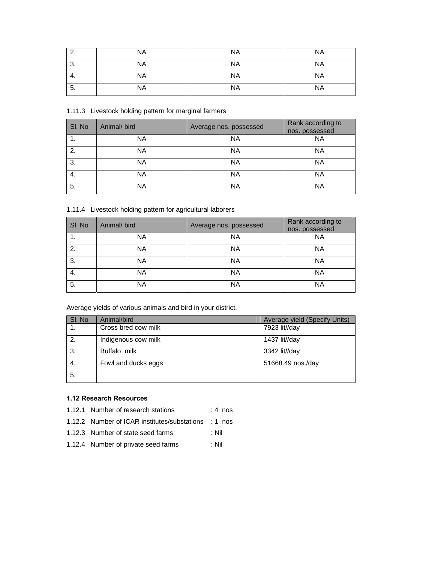| ◠       | <b>NA</b> | <b>NA</b> | <b>NA</b> |
|---------|-----------|-----------|-----------|
| ົ<br>o. | NA        | <b>NA</b> | <b>NA</b> |
| 4.      | <b>NA</b> | <b>NA</b> | <b>NA</b> |
| 5.      | <b>NA</b> | <b>NA</b> | <b>NA</b> |

1.11.3 Livestock holding pattern for marginal farmers

| SI. No | Animal/ bird | Average nos. possessed | Rank according to<br>nos. possessed |
|--------|--------------|------------------------|-------------------------------------|
|        | <b>NA</b>    | <b>NA</b>              | <b>NA</b>                           |
| 2.     | <b>NA</b>    | <b>NA</b>              | <b>NA</b>                           |
| 3.     | NA           | <b>NA</b>              | <b>NA</b>                           |
| 4.     | NA           | <b>NA</b>              | <b>NA</b>                           |
| 5.     | NA           | <b>NA</b>              | <b>NA</b>                           |

1.11.4 Livestock holding pattern for agricultural laborers

| SI. No | Animal/ bird | Average nos. possessed | Rank according to<br>nos. possessed |
|--------|--------------|------------------------|-------------------------------------|
|        | NA           | ΝA                     | <b>NA</b>                           |
| 2.     | NA           | <b>NA</b>              | <b>NA</b>                           |
| 3.     | NA.          | <b>NA</b>              | <b>NA</b>                           |
| 4.     | <b>NA</b>    | <b>NA</b>              | <b>NA</b>                           |
| 5.     | NA           | <b>NA</b>              | <b>NA</b>                           |

Average yields of various animals and bird in your district.

| SI. No | Animal/bird         | Average yield (Specify Units) |
|--------|---------------------|-------------------------------|
|        | Cross bred cow milk | 7923 lit//day                 |
| 2.     | Indigenous cow milk | 1437 lit//day                 |
| 3.     | Buffalo milk        | 3342 lit//day                 |
| 4.     | Fowl and ducks eggs | 51668.49 nos./day             |
| 5.     |                     |                               |

# **1.12 Research Resources**

- 1.12.1 Number of research stations : 4 nos
- 1.12.2 Number of ICAR institutes/substations : 1 nos
- 1.12.3 Number of state seed farms : Nil
- 1.12.4 Number of private seed farms : Nil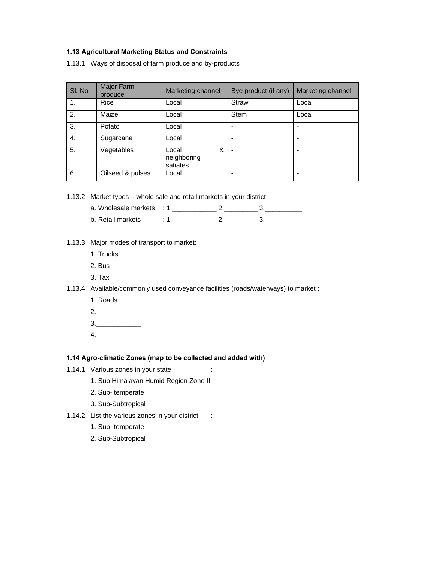## **1.13 Agricultural Marketing Status and Constraints**

1.13.1 Ways of disposal of farm produce and by-products

| SI. No | Major Farm<br>produce | Marketing channel                     | Bye product (if any) | Marketing channel |
|--------|-----------------------|---------------------------------------|----------------------|-------------------|
| 1.     | Rice                  | Local                                 | <b>Straw</b>         | Local             |
| 2.     | Maize                 | Local                                 | <b>Stem</b>          | Local             |
| 3.     | Potato                | Local                                 | ۰                    |                   |
| 4.     | Sugarcane             | Local                                 |                      |                   |
| 5.     | Vegetables            | &<br>Local<br>neighboring<br>satiates |                      |                   |
| 6.     | Oilseed & pulses      | Local                                 | ۰                    |                   |

1.13.2 Market types – whole sale and retail markets in your district

| a. Wholesale markets |  |  |
|----------------------|--|--|
| b. Retail markets    |  |  |

# 1.13.3 Major modes of transport to market:

- 1. Trucks
- 2. Bus
- 3. Taxi
- 1.13.4 Available/commonly used conveyance facilities (roads/waterways) to market :
	- 1. Roads
	- $2.$
	- $3.$
	- $4.$

### **1.14 Agro-climatic Zones (map to be collected and added with)**

- 1.14.1 Various zones in your state :
	- 1. Sub Himalayan Humid Region Zone III
	- 2. Sub- temperate
	- 3. Sub-Subtropical
- 1.14.2 List the various zones in your district :
	- 1. Sub- temperate
	- 2. Sub-Subtropical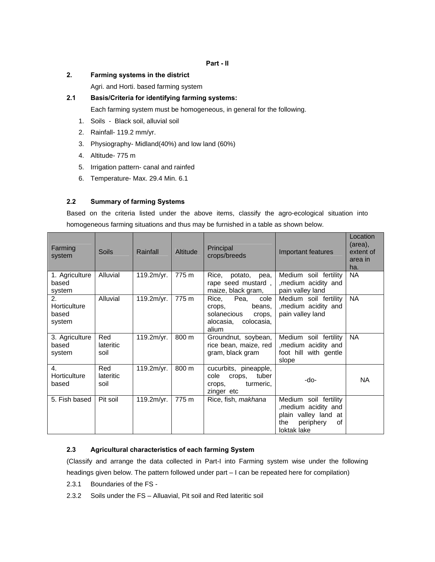## **2. Farming systems in the district**

Agri. and Horti. based farming system

## **2.1 Basis/Criteria for identifying farming systems:**

Each farming system must be homogeneous, in general for the following.

- 1. Soils Black soil, alluvial soil
- 2. Rainfall- 119.2 mm/yr.
- 3. Physiography- Midland(40%) and low land (60%)
- 4. Altitude- 775 m
- 5. Irrigation pattern- canal and rainfed
- 6. Temperature- Max. 29.4 Min. 6.1

## **2.2 Summary of farming Systems**

Based on the criteria listed under the above items, classify the agro-ecological situation into homogeneous farming situations and thus may be furnished in a table as shown below.

| Farming<br>system                         | <b>Soils</b>             | Rainfall   | <b>Altitude</b> | Principal<br>crops/breeds                                                                              | Important features                                                                                             | Location<br>(area),<br>extent of<br>area in<br>ha. |
|-------------------------------------------|--------------------------|------------|-----------------|--------------------------------------------------------------------------------------------------------|----------------------------------------------------------------------------------------------------------------|----------------------------------------------------|
| 1. Agriculture<br>based<br>system         | Alluvial                 | 119.2m/yr. | 775 m           | Rice,<br>potato,<br>pea,<br>rape seed mustard,<br>maize, black gram,                                   | Medium soil fertility<br>, medium acidity and<br>pain valley land                                              | <b>NA</b>                                          |
| 2.<br>Horticulture<br>based<br>system     | Alluvial                 | 119.2m/yr. | 775 m           | Rice,<br>Pea,<br>cole<br>beans,<br>crops,<br>solanecious<br>crops,<br>colocasia,<br>alocasia.<br>alium | Medium soil fertility<br>, medium acidity and<br>pain valley land                                              | <b>NA</b>                                          |
| 3. Agriculture<br>based<br>system         | Red<br>lateritic<br>soil | 119.2m/yr. | 800 m           | Groundnut, soybean,<br>rice bean, maize, red<br>gram, black gram                                       | Medium soil fertility<br>, medium acidity and<br>foot hill with gentle<br>slope                                | <b>NA</b>                                          |
| $\overline{4}$ .<br>Horticulture<br>based | Red<br>lateritic<br>soil | 119.2m/yr. | 800 m           | cucurbits, pineapple,<br>cole<br>tuber<br>crops,<br>turmeric,<br>crops.<br>zinger etc                  | -do-                                                                                                           | <b>NA</b>                                          |
| 5. Fish based                             | Pit soil                 | 119.2m/yr. | 775 m           | Rice, fish, makhana                                                                                    | Medium soil fertility<br>, medium acidity and<br>plain valley land at<br>periphery<br>the<br>οf<br>loktak lake |                                                    |

### **2.3 Agricultural characteristics of each farming System**

(Classify and arrange the data collected in Part-I into Farming system wise under the following headings given below. The pattern followed under part – I can be repeated here for compilation)

- 2.3.1 Boundaries of the FS -
- 2.3.2 Soils under the FS Alluavial, Pit soil and Red lateritic soil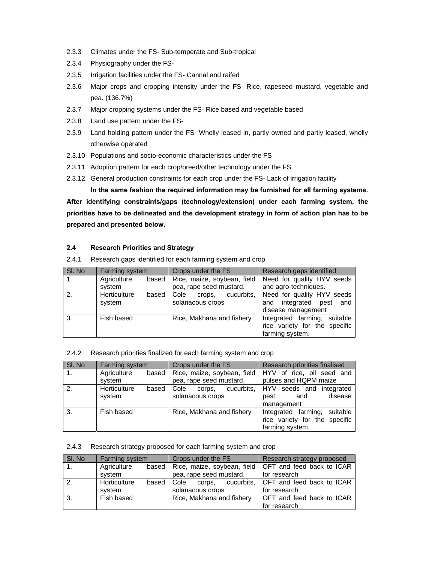- 2.3.3 Climates under the FS- Sub-temperate and Sub-tropical
- 2.3.4 Physiography under the FS-
- 2.3.5 Irrigation facilities under the FS- Cannal and raifed
- 2.3.6 Major crops and cropping intensity under the FS- Rice, rapeseed mustard, vegetable and pea. (136.7%)
- 2.3.7 Major cropping systems under the FS- Rice based and vegetable based
- 2.3.8 Land use pattern under the FS-
- 2.3.9 Land holding pattern under the FS- Wholly leased in, partly owned and partly leased, wholly otherwise operated
- 2.3.10 Populations and socio-economic characteristics under the FS
- 2.3.11 Adoption pattern for each crop/breed/other technology under the FS
- 2.3.12 General production constraints for each crop under the FS- Lack of irrigation facility

 **In the same fashion the required information may be furnished for all farming systems. After identifying constraints/gaps (technology/extension) under each farming system, the priorities have to be delineated and the development strategy in form of action plan has to be prepared and presented below.** 

### **2.4 Research Priorities and Strategy**

2.4.1 Research gaps identified for each farming system and crop

| SI. No | <b>Farming system</b> | Crops under the FS           | Research gaps identified      |
|--------|-----------------------|------------------------------|-------------------------------|
|        | Agriculture<br>based  | Rice, maize, soybean, field  | Need for quality HYV seeds    |
|        | svstem                | pea, rape seed mustard.      | and agro-techniques.          |
| 2.     | Horticulture<br>based | Cole<br>cucurbits,<br>crops. | Need for quality HYV seeds    |
|        | system                | solanacous crops             | integrated pest<br>and<br>and |
|        |                       |                              | disease management            |
| 3.     | Fish based            | Rice, Makhana and fishery    | Integrated farming, suitable  |
|        |                       |                              | rice variety for the specific |
|        |                       |                              | farming system.               |

#### 2.4.2 Research priorities finalized for each farming system and crop

| SI. No           | Farming system                  | Crops under the FS                 | Research priorities finalised                                                    |  |
|------------------|---------------------------------|------------------------------------|----------------------------------------------------------------------------------|--|
| $\overline{1}$ . | Agriculture<br>based<br>system  | pea, rape seed mustard.            | Rice, maize, soybean, field   HYV of rice, oil seed and<br>pulses and HQPM maize |  |
| 2.               | Horticulture<br>based<br>system | Cole<br>corps,<br>solanacous crops | cucurbits, HYV seeds and integrated<br>disease<br>pest<br>and<br>management      |  |
| 3.               | Fish based                      | Rice, Makhana and fishery          | Integrated farming, suitable<br>rice variety for the specific<br>farming system. |  |

### 2.4.3 Research strategy proposed for each farming system and crop

| SI. No. | <b>Farming system</b> |       | Crops under the FS                  |                  |  | Research strategy proposed             |
|---------|-----------------------|-------|-------------------------------------|------------------|--|----------------------------------------|
|         | Agriculture           |       | based   Rice, maize, soybean, field |                  |  | OFT and feed back to ICAR              |
|         | svstem                |       | pea, rape seed mustard.             |                  |  | for research                           |
| 2.      | Horticulture          | based | l Cole                              | corps.           |  | cucurbits,   OFT and feed back to ICAR |
|         | svstem                |       |                                     | solanacous crops |  | for research                           |
| 3.      | Fish based            |       | Rice, Makhana and fishery           |                  |  | OFT and feed back to ICAR              |
|         |                       |       |                                     |                  |  | for research                           |